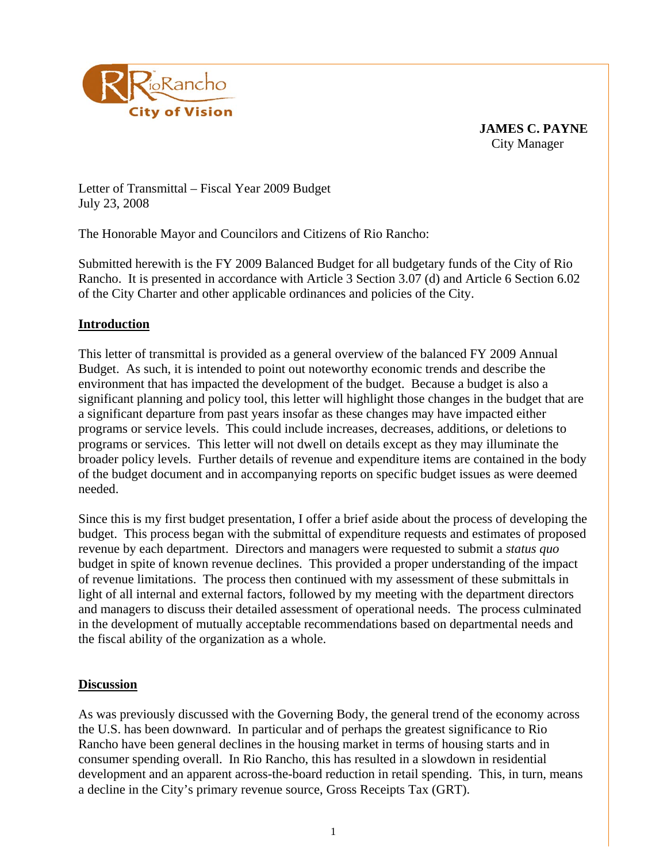

**JAMES C. PAYNE**  City Manager

Letter of Transmittal – Fiscal Year 2009 Budget July 23, 2008

The Honorable Mayor and Councilors and Citizens of Rio Rancho:

Submitted herewith is the FY 2009 Balanced Budget for all budgetary funds of the City of Rio Rancho. It is presented in accordance with Article 3 Section 3.07 (d) and Article 6 Section 6.02 of the City Charter and other applicable ordinances and policies of the City.

# **Introduction**

This letter of transmittal is provided as a general overview of the balanced FY 2009 Annual Budget. As such, it is intended to point out noteworthy economic trends and describe the environment that has impacted the development of the budget. Because a budget is also a significant planning and policy tool, this letter will highlight those changes in the budget that are a significant departure from past years insofar as these changes may have impacted either programs or service levels. This could include increases, decreases, additions, or deletions to programs or services. This letter will not dwell on details except as they may illuminate the broader policy levels. Further details of revenue and expenditure items are contained in the body of the budget document and in accompanying reports on specific budget issues as were deemed needed.

Since this is my first budget presentation, I offer a brief aside about the process of developing the budget. This process began with the submittal of expenditure requests and estimates of proposed revenue by each department. Directors and managers were requested to submit a *status quo* budget in spite of known revenue declines. This provided a proper understanding of the impact of revenue limitations. The process then continued with my assessment of these submittals in light of all internal and external factors, followed by my meeting with the department directors and managers to discuss their detailed assessment of operational needs. The process culminated in the development of mutually acceptable recommendations based on departmental needs and the fiscal ability of the organization as a whole.

# **Discussion**

As was previously discussed with the Governing Body, the general trend of the economy across the U.S. has been downward. In particular and of perhaps the greatest significance to Rio Rancho have been general declines in the housing market in terms of housing starts and in consumer spending overall. In Rio Rancho, this has resulted in a slowdown in residential development and an apparent across-the-board reduction in retail spending. This, in turn, means a decline in the City's primary revenue source, Gross Receipts Tax (GRT).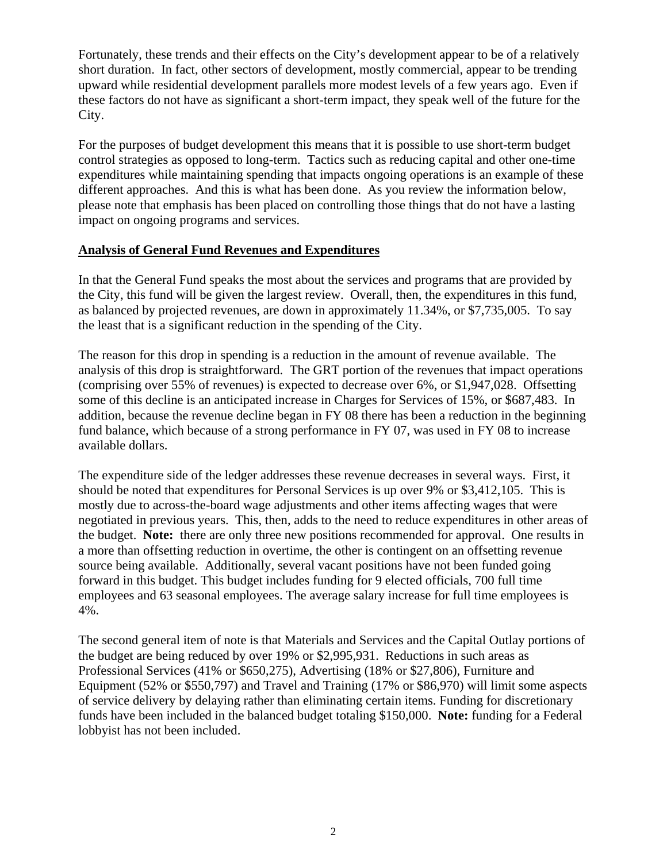Fortunately, these trends and their effects on the City's development appear to be of a relatively short duration. In fact, other sectors of development, mostly commercial, appear to be trending upward while residential development parallels more modest levels of a few years ago. Even if these factors do not have as significant a short-term impact, they speak well of the future for the City.

For the purposes of budget development this means that it is possible to use short-term budget control strategies as opposed to long-term. Tactics such as reducing capital and other one-time expenditures while maintaining spending that impacts ongoing operations is an example of these different approaches. And this is what has been done. As you review the information below, please note that emphasis has been placed on controlling those things that do not have a lasting impact on ongoing programs and services.

# **Analysis of General Fund Revenues and Expenditures**

In that the General Fund speaks the most about the services and programs that are provided by the City, this fund will be given the largest review. Overall, then, the expenditures in this fund, as balanced by projected revenues, are down in approximately 11.34%, or \$7,735,005. To say the least that is a significant reduction in the spending of the City.

The reason for this drop in spending is a reduction in the amount of revenue available. The analysis of this drop is straightforward. The GRT portion of the revenues that impact operations (comprising over 55% of revenues) is expected to decrease over 6%, or \$1,947,028. Offsetting some of this decline is an anticipated increase in Charges for Services of 15%, or \$687,483. In addition, because the revenue decline began in FY 08 there has been a reduction in the beginning fund balance, which because of a strong performance in FY 07, was used in FY 08 to increase available dollars.

The expenditure side of the ledger addresses these revenue decreases in several ways. First, it should be noted that expenditures for Personal Services is up over 9% or \$3,412,105. This is mostly due to across-the-board wage adjustments and other items affecting wages that were negotiated in previous years. This, then, adds to the need to reduce expenditures in other areas of the budget. **Note:** there are only three new positions recommended for approval. One results in a more than offsetting reduction in overtime, the other is contingent on an offsetting revenue source being available. Additionally, several vacant positions have not been funded going forward in this budget. This budget includes funding for 9 elected officials, 700 full time employees and 63 seasonal employees. The average salary increase for full time employees is 4%.

The second general item of note is that Materials and Services and the Capital Outlay portions of the budget are being reduced by over 19% or \$2,995,931. Reductions in such areas as Professional Services (41% or \$650,275), Advertising (18% or \$27,806), Furniture and Equipment (52% or \$550,797) and Travel and Training (17% or \$86,970) will limit some aspects of service delivery by delaying rather than eliminating certain items. Funding for discretionary funds have been included in the balanced budget totaling \$150,000. **Note:** funding for a Federal lobbyist has not been included.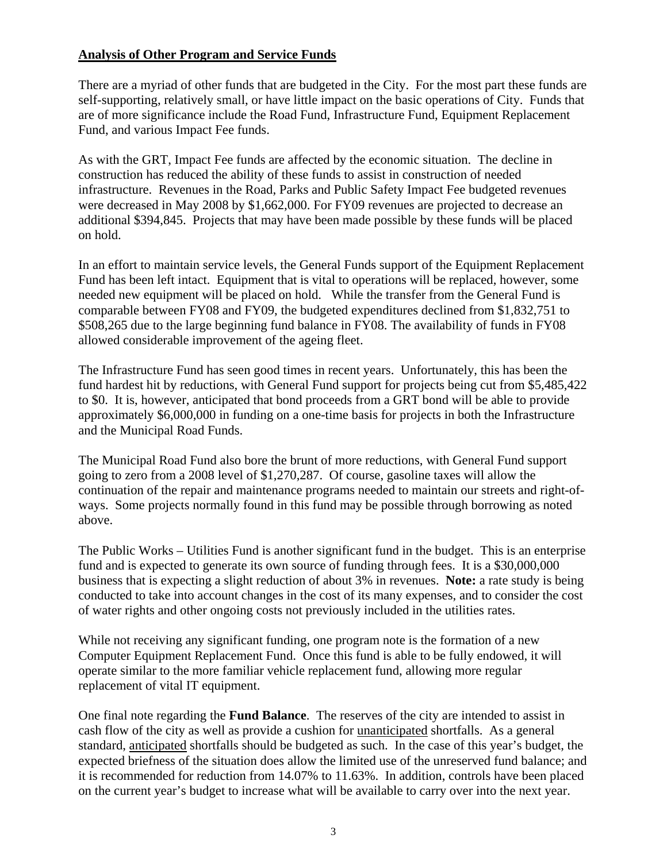# **Analysis of Other Program and Service Funds**

There are a myriad of other funds that are budgeted in the City. For the most part these funds are self-supporting, relatively small, or have little impact on the basic operations of City. Funds that are of more significance include the Road Fund, Infrastructure Fund, Equipment Replacement Fund, and various Impact Fee funds.

As with the GRT, Impact Fee funds are affected by the economic situation. The decline in construction has reduced the ability of these funds to assist in construction of needed infrastructure. Revenues in the Road, Parks and Public Safety Impact Fee budgeted revenues were decreased in May 2008 by \$1,662,000. For FY09 revenues are projected to decrease an additional \$394,845. Projects that may have been made possible by these funds will be placed on hold.

In an effort to maintain service levels, the General Funds support of the Equipment Replacement Fund has been left intact. Equipment that is vital to operations will be replaced, however, some needed new equipment will be placed on hold. While the transfer from the General Fund is comparable between FY08 and FY09, the budgeted expenditures declined from \$1,832,751 to \$508,265 due to the large beginning fund balance in FY08. The availability of funds in FY08 allowed considerable improvement of the ageing fleet.

The Infrastructure Fund has seen good times in recent years. Unfortunately, this has been the fund hardest hit by reductions, with General Fund support for projects being cut from \$5,485,422 to \$0. It is, however, anticipated that bond proceeds from a GRT bond will be able to provide approximately \$6,000,000 in funding on a one-time basis for projects in both the Infrastructure and the Municipal Road Funds.

The Municipal Road Fund also bore the brunt of more reductions, with General Fund support going to zero from a 2008 level of \$1,270,287. Of course, gasoline taxes will allow the continuation of the repair and maintenance programs needed to maintain our streets and right-ofways. Some projects normally found in this fund may be possible through borrowing as noted above.

The Public Works – Utilities Fund is another significant fund in the budget. This is an enterprise fund and is expected to generate its own source of funding through fees. It is a \$30,000,000 business that is expecting a slight reduction of about 3% in revenues. **Note:** a rate study is being conducted to take into account changes in the cost of its many expenses, and to consider the cost of water rights and other ongoing costs not previously included in the utilities rates.

While not receiving any significant funding, one program note is the formation of a new Computer Equipment Replacement Fund. Once this fund is able to be fully endowed, it will operate similar to the more familiar vehicle replacement fund, allowing more regular replacement of vital IT equipment.

One final note regarding the **Fund Balance**. The reserves of the city are intended to assist in cash flow of the city as well as provide a cushion for unanticipated shortfalls. As a general standard, anticipated shortfalls should be budgeted as such. In the case of this year's budget, the expected briefness of the situation does allow the limited use of the unreserved fund balance; and it is recommended for reduction from 14.07% to 11.63%. In addition, controls have been placed on the current year's budget to increase what will be available to carry over into the next year.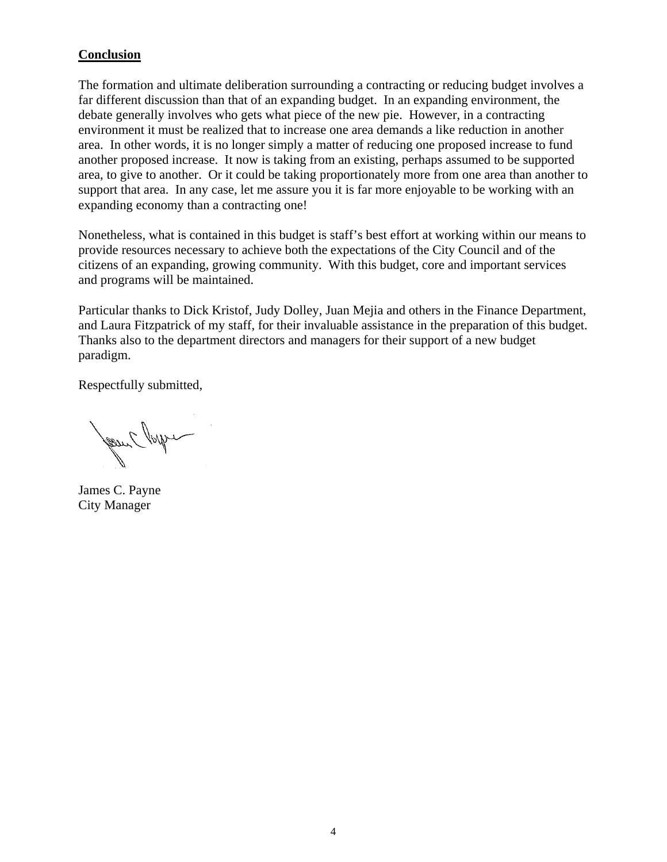# **Conclusion**

The formation and ultimate deliberation surrounding a contracting or reducing budget involves a far different discussion than that of an expanding budget. In an expanding environment, the debate generally involves who gets what piece of the new pie. However, in a contracting environment it must be realized that to increase one area demands a like reduction in another area. In other words, it is no longer simply a matter of reducing one proposed increase to fund another proposed increase. It now is taking from an existing, perhaps assumed to be supported area, to give to another. Or it could be taking proportionately more from one area than another to support that area. In any case, let me assure you it is far more enjoyable to be working with an expanding economy than a contracting one!

Nonetheless, what is contained in this budget is staff's best effort at working within our means to provide resources necessary to achieve both the expectations of the City Council and of the citizens of an expanding, growing community. With this budget, core and important services and programs will be maintained.

Particular thanks to Dick Kristof, Judy Dolley, Juan Mejia and others in the Finance Department, and Laura Fitzpatrick of my staff, for their invaluable assistance in the preparation of this budget. Thanks also to the department directors and managers for their support of a new budget paradigm.

Respectfully submitted,

Jesuit Popper

James C. Payne City Manager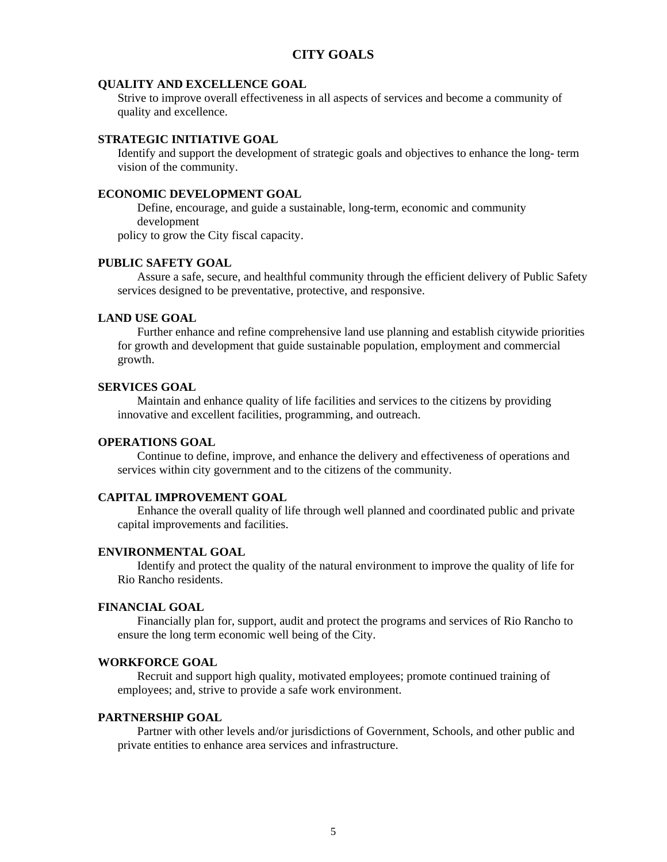# **CITY GOALS**

### **QUALITY AND EXCELLENCE GOAL**

Strive to improve overall effectiveness in all aspects of services and become a community of quality and excellence.

# **STRATEGIC INITIATIVE GOAL**

Identify and support the development of strategic goals and objectives to enhance the long- term vision of the community.

# **ECONOMIC DEVELOPMENT GOAL**

Define, encourage, and guide a sustainable, long-term, economic and community development

policy to grow the City fiscal capacity.

# **PUBLIC SAFETY GOAL**

Assure a safe, secure, and healthful community through the efficient delivery of Public Safety services designed to be preventative, protective, and responsive.

### **LAND USE GOAL**

 Further enhance and refine comprehensive land use planning and establish citywide priorities for growth and development that guide sustainable population, employment and commercial growth.

#### **SERVICES GOAL**

 Maintain and enhance quality of life facilities and services to the citizens by providing innovative and excellent facilities, programming, and outreach.

#### **OPERATIONS GOAL**

 Continue to define, improve, and enhance the delivery and effectiveness of operations and services within city government and to the citizens of the community.

### **CAPITAL IMPROVEMENT GOAL**

 Enhance the overall quality of life through well planned and coordinated public and private capital improvements and facilities.

#### **ENVIRONMENTAL GOAL**

Identify and protect the quality of the natural environment to improve the quality of life for Rio Rancho residents.

### **FINANCIAL GOAL**

 Financially plan for, support, audit and protect the programs and services of Rio Rancho to ensure the long term economic well being of the City.

#### **WORKFORCE GOAL**

Recruit and support high quality, motivated employees; promote continued training of employees; and, strive to provide a safe work environment.

### **PARTNERSHIP GOAL**

Partner with other levels and/or jurisdictions of Government, Schools, and other public and private entities to enhance area services and infrastructure.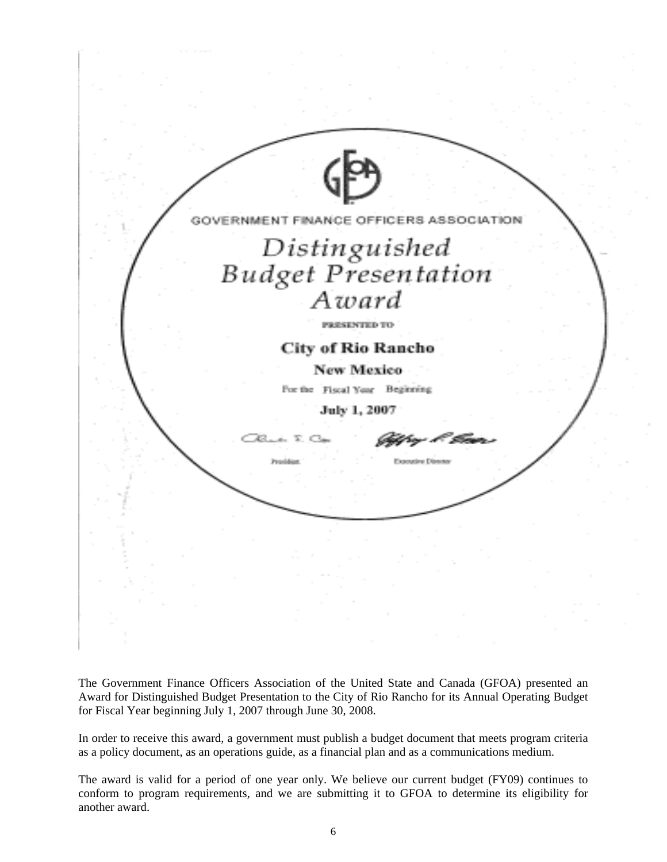| $\bigoplus$                                 |  |
|---------------------------------------------|--|
| NANCE OFFICERS<br>GOV                       |  |
|                                             |  |
| Distinguished<br>Budget Presentation        |  |
| Award                                       |  |
| <b>PRESENTED TO:</b>                        |  |
| <b>City of Rio Rancho</b>                   |  |
| New Mexico<br>For the Fiscal Year Beginning |  |
| July 1, 2007                                |  |
| 38. L T. C.                                 |  |
| Expositive Director                         |  |
|                                             |  |
|                                             |  |
|                                             |  |
| $\sim$                                      |  |
|                                             |  |
|                                             |  |

The Government Finance Officers Association of the United State and Canada (GFOA) presented an Award for Distinguished Budget Presentation to the City of Rio Rancho for its Annual Operating Budget for Fiscal Year beginning July 1, 2007 through June 30, 2008.

In order to receive this award, a government must publish a budget document that meets program criteria as a policy document, as an operations guide, as a financial plan and as a communications medium.

The award is valid for a period of one year only. We believe our current budget (FY09) continues to conform to program requirements, and we are submitting it to GFOA to determine its eligibility for another award.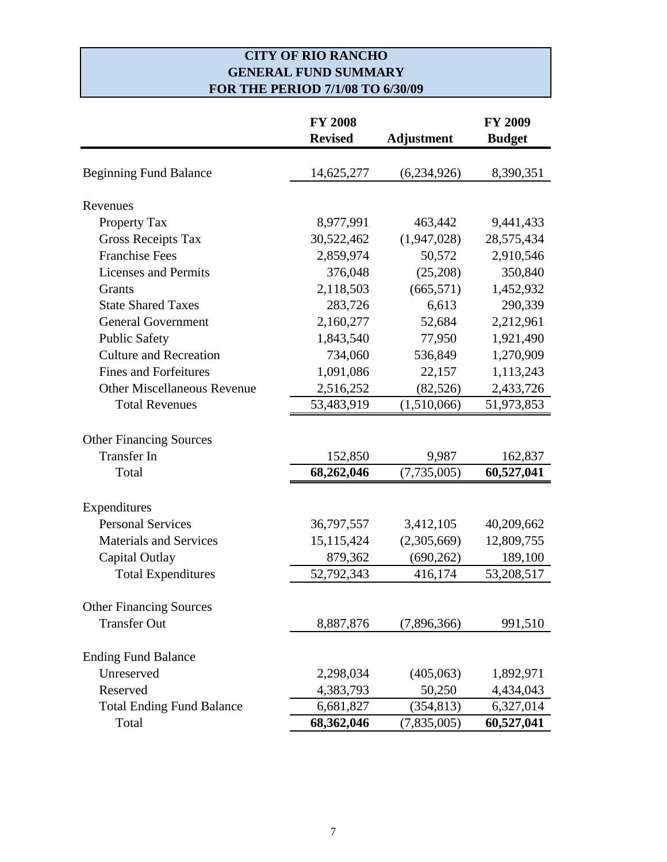# **CITY OF RIO RANCHO GENERAL FUND SUMMARY FOR THE PERIOD 7/1/08 TO 6/30/09**

|                                    | <b>FY 2008</b> |                   | <b>FY 2009</b> |
|------------------------------------|----------------|-------------------|----------------|
|                                    | <b>Revised</b> | <b>Adjustment</b> | <b>Budget</b>  |
| <b>Beginning Fund Balance</b>      | 14,625,277     | (6,234,926)       | 8,390,351      |
|                                    |                |                   |                |
| Revenues                           |                |                   |                |
| Property Tax                       | 8,977,991      | 463,442           | 9,441,433      |
| <b>Gross Receipts Tax</b>          | 30,522,462     | (1,947,028)       | 28,575,434     |
| <b>Franchise Fees</b>              | 2,859,974      | 50,572            | 2,910,546      |
| <b>Licenses and Permits</b>        | 376,048        | (25,208)          | 350,840        |
| Grants                             | 2,118,503      | (665, 571)        | 1,452,932      |
| <b>State Shared Taxes</b>          | 283,726        | 6,613             | 290,339        |
| <b>General Government</b>          | 2,160,277      | 52,684            | 2,212,961      |
| <b>Public Safety</b>               | 1,843,540      | 77,950            | 1,921,490      |
| <b>Culture and Recreation</b>      | 734,060        | 536,849           | 1,270,909      |
| <b>Fines and Forfeitures</b>       | 1,091,086      | 22,157            | 1,113,243      |
| <b>Other Miscellaneous Revenue</b> | 2,516,252      | (82, 526)         | 2,433,726      |
| <b>Total Revenues</b>              | 53,483,919     | (1,510,066)       | 51,973,853     |
| <b>Other Financing Sources</b>     |                |                   |                |
| <b>Transfer In</b>                 | 152,850        | 9,987             | 162,837        |
| Total                              | 68,262,046     | (7, 735, 005)     | 60,527,041     |
| Expenditures                       |                |                   |                |
| <b>Personal Services</b>           | 36,797,557     | 3,412,105         | 40,209,662     |
| <b>Materials and Services</b>      | 15, 115, 424   | (2,305,669)       | 12,809,755     |
| Capital Outlay                     | 879,362        | (690, 262)        | 189,100        |
| <b>Total Expenditures</b>          | 52,792,343     | 416,174           | 53,208,517     |
|                                    |                |                   |                |
| <b>Other Financing Sources</b>     |                |                   |                |
| <b>Transfer Out</b>                | 8,887,876      | (7,896,366)       | 991,510        |
| <b>Ending Fund Balance</b>         |                |                   |                |
| Unreserved                         | 2,298,034      | (405, 063)        | 1,892,971      |
| Reserved                           | 4,383,793      | 50,250            | 4,434,043      |
| <b>Total Ending Fund Balance</b>   | 6,681,827      | (354, 813)        | 6,327,014      |
| Total                              | 68,362,046     | (7,835,005)       | 60,527,041     |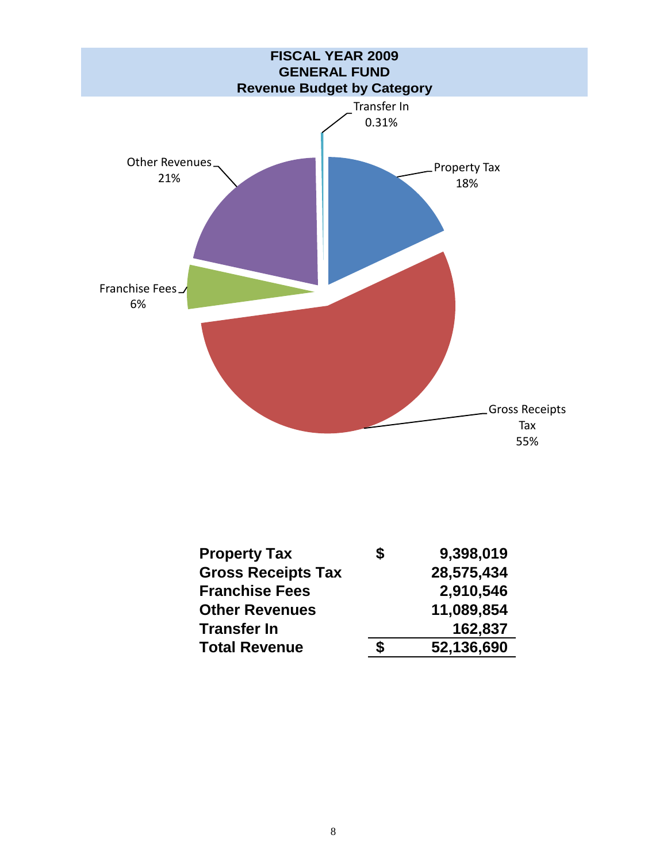

| <b>Property Tax</b>       | \$<br>9,398,019  |
|---------------------------|------------------|
| <b>Gross Receipts Tax</b> | 28,575,434       |
| <b>Franchise Fees</b>     | 2,910,546        |
| <b>Other Revenues</b>     | 11,089,854       |
| <b>Transfer In</b>        | 162,837          |
| <b>Total Revenue</b>      | \$<br>52,136,690 |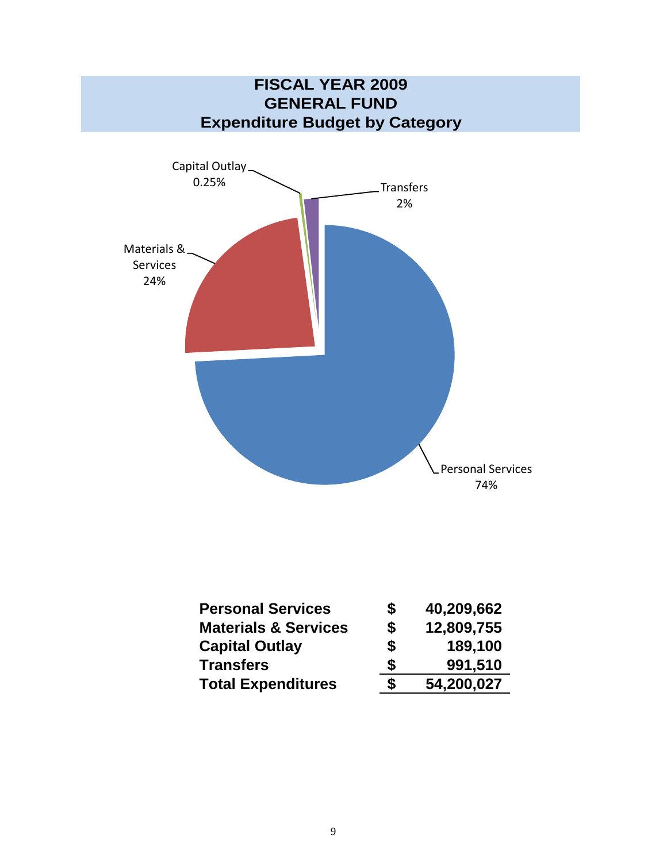

| <b>Personal Services</b>        | S  | 40,209,662 |
|---------------------------------|----|------------|
| <b>Materials &amp; Services</b> | \$ | 12,809,755 |
| <b>Capital Outlay</b>           | \$ | 189,100    |
| <b>Transfers</b>                | S  | 991,510    |
| <b>Total Expenditures</b>       | \$ | 54,200,027 |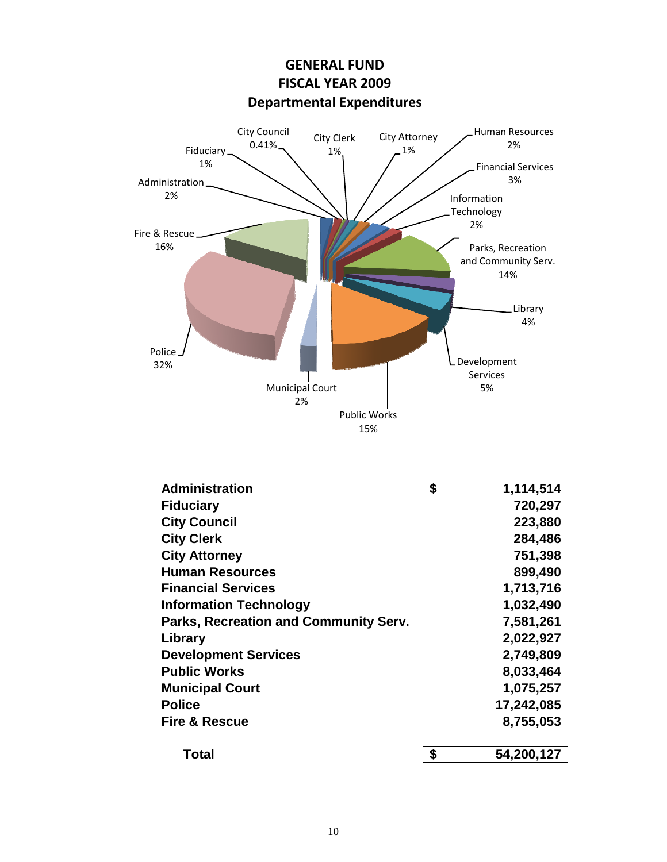

**GENERAL FUND**

| <b>Administration</b>                 | \$<br>1,114,514  |
|---------------------------------------|------------------|
| <b>Fiduciary</b>                      | 720,297          |
| <b>City Council</b>                   | 223,880          |
| <b>City Clerk</b>                     | 284,486          |
| <b>City Attorney</b>                  | 751,398          |
| <b>Human Resources</b>                | 899,490          |
| <b>Financial Services</b>             | 1,713,716        |
| <b>Information Technology</b>         | 1,032,490        |
| Parks, Recreation and Community Serv. | 7,581,261        |
| Library                               | 2,022,927        |
| <b>Development Services</b>           | 2,749,809        |
| <b>Public Works</b>                   | 8,033,464        |
| <b>Municipal Court</b>                | 1,075,257        |
| <b>Police</b>                         | 17,242,085       |
| <b>Fire &amp; Rescue</b>              | 8,755,053        |
| Total                                 | \$<br>54,200,127 |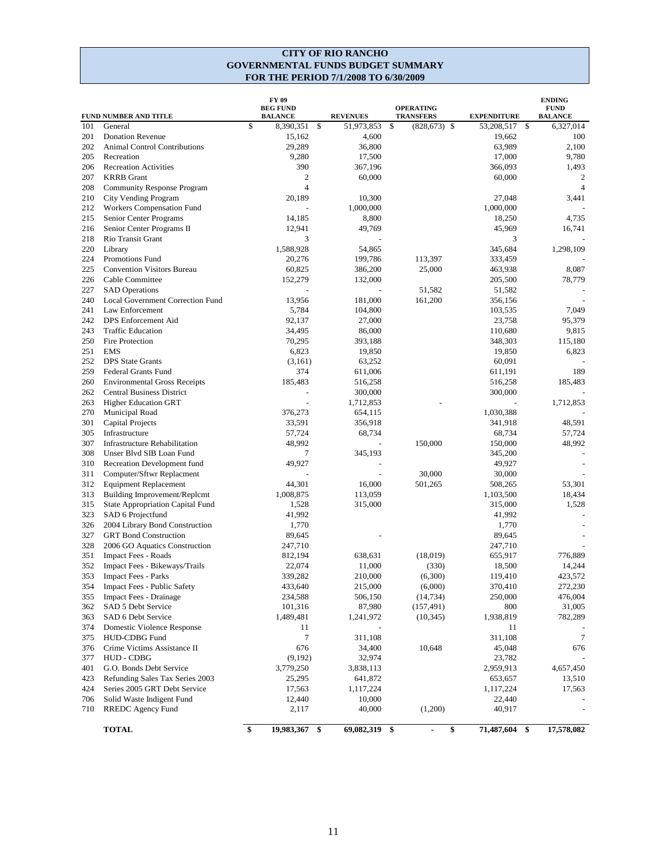#### **CITY OF RIO RANCHO GOVERNMENTAL FUNDS BUDGET SUMMARY FOR THE PERIOD 7/1/2008 TO 6/30/2009**

|     | FUND NUMBER AND TITLE                | FY 09<br><b>BEG FUND</b><br><b>BALANCE</b> |     | <b>REVENUES</b> | <b>OPERATING</b><br><b>TRANSFERS</b> | <b>EXPENDITURE</b> |     | <b>ENDING</b><br><b>FUND</b><br><b>BALANCE</b> |
|-----|--------------------------------------|--------------------------------------------|-----|-----------------|--------------------------------------|--------------------|-----|------------------------------------------------|
| 101 | General                              | \$<br>8,390,351                            | -\$ | 51,973,853      | \$<br>$(828, 673)$ \$                | 53,208,517         | -\$ | 6,327,014                                      |
| 201 | <b>Donation Revenue</b>              | 15,162                                     |     | 4,600           |                                      | 19,662             |     | 100                                            |
| 202 | <b>Animal Control Contributions</b>  | 29,289                                     |     | 36,800          |                                      | 63,989             |     | 2,100                                          |
| 205 | Recreation                           | 9,280                                      |     | 17,500          |                                      | 17,000             |     | 9,780                                          |
| 206 | <b>Recreation Activities</b>         | 390                                        |     | 367,196         |                                      | 366,093            |     | 1,493                                          |
| 207 | <b>KRRB</b> Grant                    | 2                                          |     | 60,000          |                                      | 60,000             |     | 2                                              |
| 208 | <b>Community Response Program</b>    | $\overline{4}$                             |     |                 |                                      |                    |     | $\overline{4}$                                 |
| 210 | City Vending Program                 | 20,189                                     |     | 10,300          |                                      | 27,048             |     | 3,441                                          |
| 212 | Workers Compensation Fund            |                                            |     | 1,000,000       |                                      | 1,000,000          |     |                                                |
| 215 | Senior Center Programs               | 14,185                                     |     | 8,800           |                                      | 18,250             |     | 4,735                                          |
| 216 | Senior Center Programs II            | 12,941                                     |     | 49,769          |                                      | 45,969             |     | 16,741                                         |
| 218 | Rio Transit Grant                    | 3                                          |     |                 |                                      | 3                  |     |                                                |
| 220 | Library                              | 1,588,928                                  |     | 54,865          |                                      | 345,684            |     | 1,298,109                                      |
| 224 | <b>Promotions Fund</b>               | 20,276                                     |     | 199,786         | 113,397                              | 333,459            |     |                                                |
| 225 | <b>Convention Visitors Bureau</b>    | 60,825                                     |     | 386,200         | 25,000                               | 463,938            |     | 8,087                                          |
| 226 | Cable Committee                      | 152,279                                    |     | 132,000         |                                      | 205,500            |     | 78,779                                         |
| 227 | <b>SAD</b> Operations                |                                            |     |                 | 51,582                               | 51,582             |     |                                                |
| 240 | Local Government Correction Fund     | 13,956                                     |     | 181,000         | 161,200                              | 356,156            |     |                                                |
| 241 | Law Enforcement                      | 5,784                                      |     | 104,800         |                                      | 103,535            |     | 7,049                                          |
| 242 | DPS Enforcement Aid                  | 92,137                                     |     | 27,000          |                                      | 23,758             |     | 95,379                                         |
| 243 | <b>Traffic Education</b>             | 34,495                                     |     | 86,000          |                                      | 110,680            |     | 9,815                                          |
| 250 | Fire Protection                      | 70,295                                     |     | 393,188         |                                      | 348,303            |     | 115,180                                        |
| 251 | <b>EMS</b>                           | 6,823                                      |     | 19,850          |                                      | 19.850             |     | 6,823                                          |
| 252 | <b>DPS</b> State Grants              | (3,161)                                    |     | 63,252          |                                      | 60,091             |     |                                                |
| 259 | Federal Grants Fund                  | 374                                        |     | 611,006         |                                      | 611,191            |     | 189                                            |
| 260 | <b>Environmental Gross Receipts</b>  | 185.483                                    |     | 516,258         |                                      | 516,258            |     | 185,483                                        |
| 262 | <b>Central Business District</b>     |                                            |     | 300,000         |                                      | 300,000            |     |                                                |
| 263 | <b>Higher Education GRT</b>          |                                            |     | 1,712,853       |                                      |                    |     | 1,712,853                                      |
| 270 | Municipal Road                       | 376,273                                    |     | 654,115         |                                      | 1,030,388          |     |                                                |
| 301 | Capital Projects                     | 33,591                                     |     | 356,918         |                                      | 341,918            |     | 48,591                                         |
| 305 | Infrastructure                       | 57,724                                     |     | 68,734          |                                      | 68,734             |     | 57,724                                         |
| 307 | <b>Infrastructure Rehabilitation</b> | 48,992                                     |     |                 | 150,000                              | 150,000            |     | 48,992                                         |
| 308 | Unser Blvd SIB Loan Fund             | 7                                          |     | 345,193         |                                      | 345,200            |     |                                                |
| 310 | Recreation Development fund          | 49,927                                     |     |                 |                                      | 49,927             |     |                                                |
| 311 | Computer/Sftwr Replacment            |                                            |     |                 | 30,000                               | 30,000             |     |                                                |
| 312 | <b>Equipment Replacement</b>         | 44,301                                     |     | 16,000          | 501,265                              | 508,265            |     | 53,301                                         |
| 313 | Building Improvement/Replcmt         | 1,008,875                                  |     | 113,059         |                                      | 1,103,500          |     | 18,434                                         |
| 315 | State Appropriation Capital Fund     | 1,528                                      |     | 315,000         |                                      | 315,000            |     | 1,528                                          |
| 323 |                                      |                                            |     |                 |                                      |                    |     |                                                |
|     | SAD 6 Projectfund                    | 41,992                                     |     |                 |                                      | 41,992             |     |                                                |
| 326 | 2004 Library Bond Construction       | 1,770                                      |     |                 |                                      | 1,770              |     |                                                |
| 327 | <b>GRT</b> Bond Construction         | 89,645                                     |     |                 |                                      | 89,645             |     |                                                |
| 328 | 2006 GO Aquatics Construction        | 247,710                                    |     |                 |                                      | 247,710            |     |                                                |
| 351 | Impact Fees - Roads                  | 812,194                                    |     | 638,631         | (18,019)                             | 655,917            |     | 776,889                                        |
| 352 | Impact Fees - Bikeways/Trails        | 22,074                                     |     | 11,000          | (330)                                | 18,500             |     | 14,244                                         |
| 353 | Impact Fees - Parks                  | 339,282                                    |     | 210,000         | (6,300)                              | 119,410            |     | 423,572                                        |
| 354 | Impact Fees - Public Safety          | 433,640                                    |     | 215,000         | (6,000)                              | 370,410            |     | 272,230                                        |
| 355 | <b>Impact Fees - Drainage</b>        | 234,588                                    |     | 506,150         | (14, 734)                            | 250,000            |     | 476,004                                        |
| 362 | SAD 5 Debt Service                   | 101,316                                    |     | 87,980          | (157, 491)                           | 800                |     | 31,005                                         |
| 363 | SAD 6 Debt Service                   | 1,489,481                                  |     | 1,241,972       | (10, 345)                            | 1,938,819          |     | 782,289                                        |
| 374 | Domestic Violence Response           | 11                                         |     |                 |                                      | 11                 |     |                                                |
| 375 | HUD-CDBG Fund                        | 7                                          |     | 311,108         |                                      | 311,108            |     | 7                                              |
| 376 | Crime Victims Assistance II          | 676                                        |     | 34,400          | 10,648                               | 45,048             |     | 676                                            |
| 377 | HUD - CDBG                           | (9,192)                                    |     | 32,974          |                                      | 23,782             |     |                                                |
| 401 | G.O. Bonds Debt Service              | 3,779,250                                  |     | 3,838,113       |                                      | 2,959,913          |     | 4,657,450                                      |
| 423 | Refunding Sales Tax Series 2003      | 25,295                                     |     | 641,872         |                                      | 653,657            |     | 13,510                                         |
| 424 | Series 2005 GRT Debt Service         | 17,563                                     |     | 1,117,224       |                                      | 1,117,224          |     | 17,563                                         |
| 706 | Solid Waste Indigent Fund            | 12,440                                     |     | 10,000          |                                      | 22,440             |     |                                                |
| 710 | RREDC Agency Fund                    | 2,117                                      |     | 40,000          | (1,200)                              | 40,917             |     |                                                |
|     | <b>TOTAL</b>                         | \$<br>19,983,367                           | \$  | 69,082,319      | \$<br>\$<br>ä,                       | 71,487,604         | \$  | 17,578,082                                     |